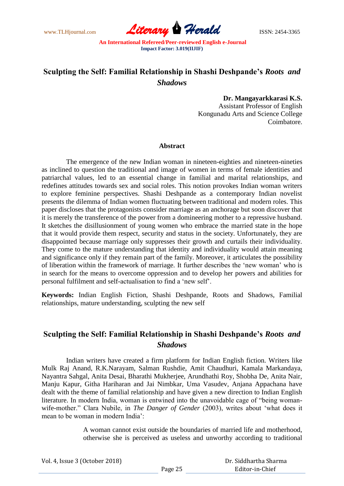www.TLHjournal.com **Literary Herald ISSN: 2454-3365** 

## **Sculpting the Self: Familial Relationship in Shashi Deshpande's** *Roots and Shadows*

**Dr. Mangayarkkarasi K.S.**  Assistant Professor of English Kongunadu Arts and Science College Coimbatore.

## **Abstract**

The emergence of the new Indian woman in nineteen-eighties and nineteen-nineties as inclined to question the traditional and image of women in terms of female identities and patriarchal values, led to an essential change in familial and marital relationships, and redefines attitudes towards sex and social roles. This notion provokes Indian woman writers to explore feminine perspectives. Shashi Deshpande as a contemporary Indian novelist presents the dilemma of Indian women fluctuating between traditional and modern roles. This paper discloses that the protagonists consider marriage as an anchorage but soon discover that it is merely the transference of the power from a domineering mother to a repressive husband. It sketches the disillusionment of young women who embrace the married state in the hope that it would provide them respect, security and status in the society. Unfortunately, they are disappointed because marriage only suppresses their growth and curtails their individuality. They come to the mature understanding that identity and individuality would attain meaning and significance only if they remain part of the family. Moreover, it articulates the possibility of liberation within the framework of marriage. It further describes the "new woman" who is in search for the means to overcome oppression and to develop her powers and abilities for personal fulfilment and self-actualisation to find a "new self".

**Keywords:** Indian English Fiction, Shashi Deshpande, Roots and Shadows, Familial relationships, mature understanding, sculpting the new self

## **Sculpting the Self: Familial Relationship in Shashi Deshpande's** *Roots and Shadows*

Indian writers have created a firm platform for Indian English fiction. Writers like Mulk Raj Anand, R.K.Narayam, Salman Rushdie, Amit Chaudhuri, Kamala Markandaya, Nayantra Sahgal, Anita Desai, Bharathi Mukherjee, Arundhathi Roy, Shobha De, Anita Nair, Manju Kapur, Githa Hariharan and Jai Nimbkar, Uma Vasudev, Anjana Appachana have dealt with the theme of familial relationship and have given a new direction to Indian English literature. In modern India, woman is entwined into the unavoidable cage of "being womanwife-mother." Clara Nubile, in *The Danger of Gender* (2003), writes about "what does it mean to be woman in modern India'<sup>.</sup>

> A woman cannot exist outside the boundaries of married life and motherhood, otherwise she is perceived as useless and unworthy according to traditional

|  | Vol. 4, Issue 3 (October 2018) |
|--|--------------------------------|
|--|--------------------------------|

 Dr. Siddhartha Sharma Editor-in-Chief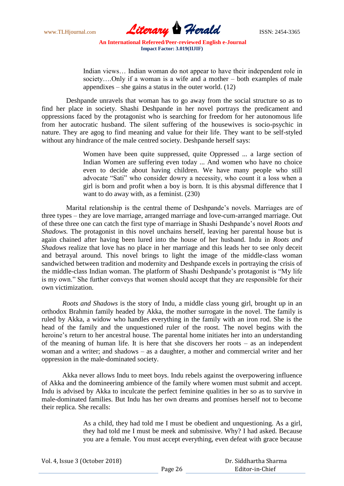

Indian views... Indian woman do not appear to have their independent role in society….Only if a woman is a wife and a mother – both examples of male appendixes – she gains a status in the outer world.  $(12)$ 

Deshpande unravels that woman has to go away from the social structure so as to find her place in society. Shashi Deshpande in her novel portrays the predicament and oppressions faced by the protagonist who is searching for freedom for her autonomous life from her autocratic husband. The silent suffering of the housewives is socio-psychic in nature. They are agog to find meaning and value for their life. They want to be self-styled without any hindrance of the male centred society. Deshpande herself says:

> Women have been quite suppressed, quite Oppressed ... a large section of Indian Women are suffering even today ... And women who have no choice even to decide about having children. We have many people who still advocate "Sati" who consider dowry a necessity, who count it a loss when a girl is born and profit when a boy is born. It is this abysmal difference that I want to do away with, as a feminist. (230)

Marital relationship is the central theme of Deshpande"s novels. Marriages are of three types – they are love marriage, arranged marriage and love-cum-arranged marriage. Out of these three one can catch the first type of marriage in Shashi Deshpande"s novel *Roots and Shadows.* The protagonist in this novel unchains herself, leaving her parental house but is again chained after having been lured into the house of her husband. Indu in *Roots and Shadows* realize that love has no place in her marriage and this leads her to see only deceit and betrayal around. This novel brings to light the image of the middle-class woman sandwiched between tradition and modernity and Deshpande excels in portraying the crisis of the middle-class Indian woman. The platform of Shashi Deshpande"s protagonist is "My life is my own." She further conveys that women should accept that they are responsible for their own victimization.

*Roots and Shadows* is the story of Indu, a middle class young girl, brought up in an orthodox Brahmin family headed by Akka, the mother surrogate in the novel. The family is ruled by Akka, a widow who handles everything in the family with an iron rod. She is the head of the family and the unquestioned ruler of the roost. The novel begins with the heroine's return to her ancestral house. The parental home initiates her into an understanding of the meaning of human life. It is here that she discovers her roots – as an independent woman and a writer; and shadows – as a daughter, a mother and commercial writer and her oppression in the male-dominated society.

Akka never allows Indu to meet boys. Indu rebels against the overpowering influence of Akka and the domineering ambience of the family where women must submit and accept. Indu is advised by Akka to inculcate the perfect feminine qualities in her so as to survive in male-dominated families. But Indu has her own dreams and promises herself not to become their replica. She recalls:

> As a child, they had told me I must be obedient and unquestioning. As a girl, they had told me I must be meek and submissive. Why? I had asked. Because you are a female. You must accept everything, even defeat with grace because

| Vol. 4, Issue 3 (October 2018) |         | Dr. Siddhartha Sharma |
|--------------------------------|---------|-----------------------|
|                                | Page 26 | Editor-in-Chief       |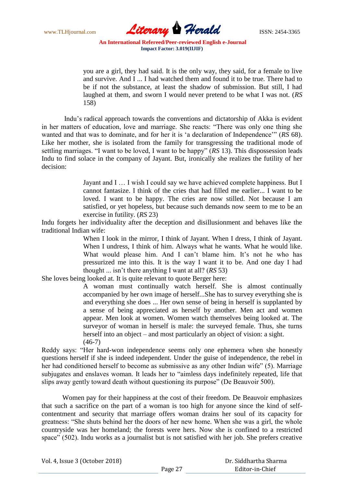www.TLHjournal.com **Literary Herald Herald** ISSN: 2454-3365

you are a girl, they had said. It is the only way, they said, for a female to live and survive. And I ... I had watched them and found it to be true. There had to be if not the substance, at least the shadow of submission. But still, I had laughed at them, and sworn I would never pretend to be what I was not. (*RS* 158)

Indu"s radical approach towards the conventions and dictatorship of Akka is evident in her matters of education, love and marriage. She reacts: "There was only one thing she wanted and that was to dominate, and for her it is "a declaration of Independence"" (*RS* 68). Like her mother, she is isolated from the family for transgressing the traditional mode of settling marriages. "I want to be loved, I want to be happy" (*RS* 13). This dispossession leads Indu to find solace in the company of Jayant. But, ironically she realizes the futility of her decision:

> Jayant and I … I wish I could say we have achieved complete happiness. But I cannot fantasize. I think of the cries that had filled me earlier... I want to be loved. I want to be happy. The cries are now stilled. Not because I am satisfied, or yet hopeless, but because such demands now seem to me to be an exercise in futility. (*RS* 23)

Indu forgets her individuality after the deception and disillusionment and behaves like the traditional Indian wife:

> When I look in the mirror, I think of Jayant. When I dress, I think of Jayant. When I undress, I think of him. Always what he wants. What he would like. What would please him. And I can't blame him. It's not he who has pressurized me into this. It is the way I want it to be. And one day I had thought ... isn"t there anything I want at all? (*RS* 53)

She loves being looked at. It is quite relevant to quote Berger here:

A woman must continually watch herself. She is almost continually accompanied by her own image of herself...She has to survey everything she is and everything she does ... Her own sense of being in herself is supplanted by a sense of being appreciated as herself by another. Men act and women appear. Men look at women. Women watch themselves being looked at. The surveyor of woman in herself is male: the surveyed female. Thus, she turns herself into an object – and most particularly an object of vision: a sight. (46-7)

Reddy says: "Her hard-won independence seems only one ephemera when she honestly questions herself if she is indeed independent. Under the guise of independence, the rebel in her had conditioned herself to become as submissive as any other Indian wife" (5). Marriage subjugates and enslaves woman. It leads her to "aimless days indefinitely repeated, life that slips away gently toward death without questioning its purpose" (De Beauvoir 500).

Women pay for their happiness at the cost of their freedom. De Beauvoir emphasizes that such a sacrifice on the part of a woman is too high for anyone since the kind of selfcontentment and security that marriage offers woman drains her soul of its capacity for greatness: "She shuts behind her the doors of her new home. When she was a girl, the whole countryside was her homeland; the forests were hers. Now she is confined to a restricted space" (502). Indu works as a journalist but is not satisfied with her job. She prefers creative

|  | Vol. 4, Issue 3 (October 2018) |
|--|--------------------------------|
|--|--------------------------------|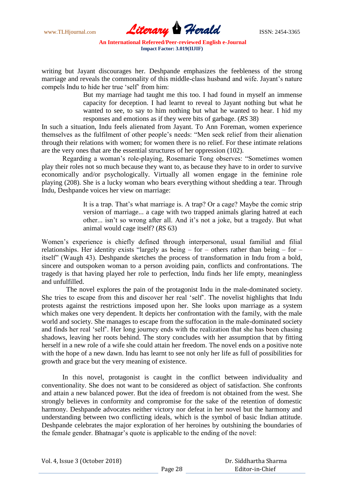www.TLHjournal.com **Literary Herald Herald** ISSN: 2454-3365

writing but Jayant discourages her. Deshpande emphasizes the feebleness of the strong marriage and reveals the commonality of this middle-class husband and wife. Jayant's nature compels Indu to hide her true "self" from him:

> But my marriage had taught me this too. I had found in myself an immense capacity for deception. I had learnt to reveal to Jayant nothing but what he wanted to see, to say to him nothing but what he wanted to hear. I hid my responses and emotions as if they were bits of garbage. (*RS* 38)

In such a situation, Indu feels alienated from Jayant. To Ann Foreman, women experience themselves as the fulfilment of other people"s needs: "Men seek relief from their alienation through their relations with women; for women there is no relief. For these intimate relations are the very ones that are the essential structures of her oppression (102).

Regarding a woman"s role-playing, Rosemarie Tong observes: "Sometimes women play their roles not so much because they want to, as because they have to in order to survive economically and/or psychologically. Virtually all women engage in the feminine role playing (208). She is a lucky woman who bears everything without shedding a tear. Through Indu, Deshpande voices her view on marriage:

> It is a trap. That"s what marriage is. A trap? Or a cage? Maybe the comic strip version of marriage... a cage with two trapped animals glaring hatred at each other... isn't so wrong after all. And it's not a joke, but a tragedy. But what animal would cage itself? (*RS* 63)

Women"s experience is chiefly defined through interpersonal, usual familial and filial relationships. Her identity exists "largely as being – for – others rather than being – for – itself" (Waugh 43). Deshpande sketches the process of transformation in Indu from a bold, sincere and outspoken woman to a person avoiding pain, conflicts and confrontations. The tragedy is that having played her role to perfection, Indu finds her life empty, meaningless and unfulfilled.

The novel explores the pain of the protagonist Indu in the male-dominated society. She tries to escape from this and discover her real "self". The novelist highlights that Indu protests against the restrictions imposed upon her. She looks upon marriage as a system which makes one very dependent. It depicts her confrontation with the family, with the male world and society. She manages to escape from the suffocation in the male-dominated society and finds her real "self". Her long journey ends with the realization that she has been chasing shadows, leaving her roots behind. The story concludes with her assumption that by fitting herself in a new role of a wife she could attain her freedom. The novel ends on a positive note with the hope of a new dawn. Indu has learnt to see not only her life as full of possibilities for growth and grace but the very meaning of existence.

In this novel, protagonist is caught in the conflict between individuality and conventionality. She does not want to be considered as object of satisfaction. She confronts and attain a new balanced power. But the idea of freedom is not obtained from the west. She strongly believes in conformity and compromise for the sake of the retention of domestic harmony. Deshpande advocates neither victory nor defeat in her novel but the harmony and understanding between two conflicting ideals, which is the symbol of basic Indian attitude. Deshpande celebrates the major exploration of her heroines by outshining the boundaries of the female gender. Bhatnagar's quote is applicable to the ending of the novel: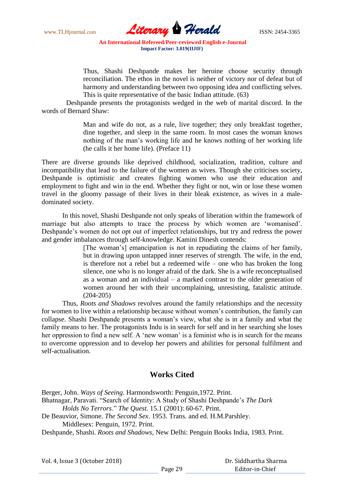www.TLHjournal.com **Literary Herald ISSN: 2454-3365** 

Thus, Shashi Deshpande makes her heroine choose security through reconciliation. The ethos in the novel is neither of victory nor of defeat but of harmony and understanding between two opposing idea and conflicting selves. This is quite representative of the basic Indian attitude. (63)

Deshpande presents the protagonists wedged in the web of marital discord. In the words of Bernard Shaw:

> Man and wife do not, as a rule, live together; they only breakfast together, dine together, and sleep in the same room. In most cases the woman knows nothing of the man"s working life and he knows nothing of her working life (he calls it her home life). (Preface 11)

There are diverse grounds like deprived childhood, socialization, tradition, culture and incompatibility that lead to the failure of the women as wives. Though she criticises society, Deshpande is optimistic and creates fighting women who use their education and employment to fight and win in the end. Whether they fight or not, win or lose these women travel in the gloomy passage of their lives in their bleak existence, as wives in a maledominated society.

In this novel, Shashi Deshpande not only speaks of liberation within the framework of marriage but also attempts to trace the process by which women are "womanised". Deshpande's women do not opt out of imperfect relationships, but try and redress the power and gender imbalances through self-knowledge. Kamini Dinesh contends:

> [The woman"s] emancipation is not in repudiating the claims of her family, but in drawing upon untapped inner reserves of strength. The wife, in the end, is therefore not a rebel but a redeemed wife – one who has broken the long silence, one who is no longer afraid of the dark. She is a wife reconceptualised as a woman and an individual – a marked contrast to the older generation of women around her with their uncomplaining, unresisting, fatalistic attitude. (204-205)

Thus, *Roots and Shadows* revolves around the family relationships and the necessity for women to live within a relationship because without women's contribution, the family can collapse. Shashi Deshpande presents a woman"s view, what she is in a family and what the family means to her. The protagonists Indu is in search for self and in her searching she loses her oppression to find a new self. A 'new woman' is a feminist who is in search for the means to overcome oppression and to develop her powers and abilities for personal fulfilment and self-actualisation.

## **Works Cited**

Berger, John. *Ways of Seeing*. Harmondsworth: Penguin,1972. Print. Bhatnagar, Paravati. "Search of Identity: A Study of Shashi Deshpande"s *The Dark* 

*Holds No Terrors.*" *The Quest.* 15.1 (2001): 60-67. Print.

De Beauvior, Simone. *The Second Sex*. 1953. Trans. and ed. H.M.Parshley. Middlesex: Penguin, 1972. Print.

Deshpande, Shashi. *Roots and Shadows*, New Delhi: Penguin Books India, 1983. Print.

 Dr. Siddhartha Sharma Editor-in-Chief